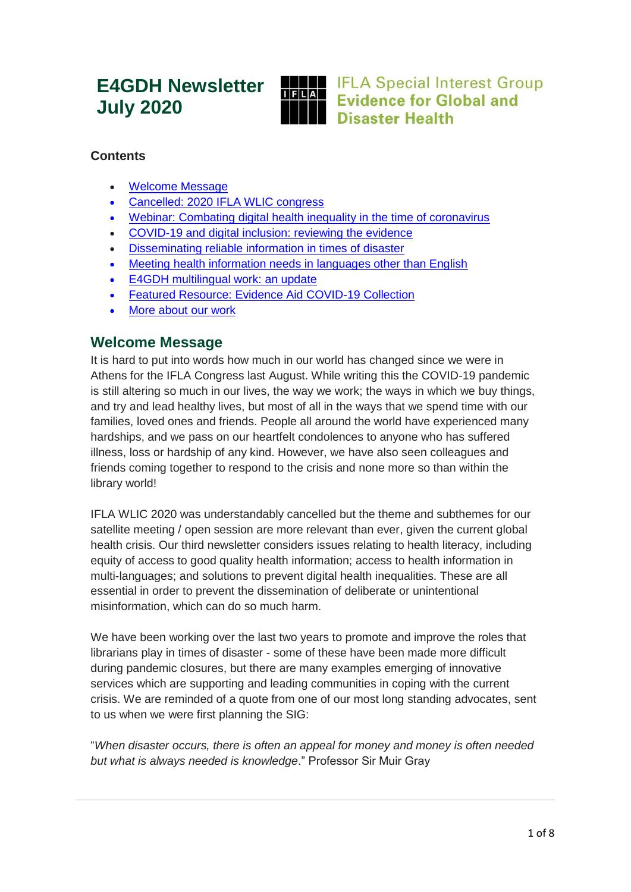# **E4GDH Newsletter July 2020**



**IFLA Special Interest Group Evidence for Global and Disaster Health** 

## **Contents**

- Welcome Message
- [Cancelled: 2020 IFLA WLIC congress](#page-1-0)
- [Webinar: Combating digital health inequality in the time of coronavirus](#page-1-1)
- [COVID-19 and digital inclusion: reviewing the evidence](#page-2-0)
- [Disseminating reliable information in times of disaster](#page-4-0)
- [Meeting health information needs in languages other than English](#page-5-0)
- [E4GDH multilingual work: an update](#page-6-0)
- [Featured Resource: Evidence Aid COVID-19 Collection](#page-7-0)
- [More about our work](#page-7-1)

## **Welcome Message**

It is hard to put into words how much in our world has changed since we were in Athens for the IFLA Congress last August. While writing this the COVID-19 pandemic is still altering so much in our lives, the way we work; the ways in which we buy things, and try and lead healthy lives, but most of all in the ways that we spend time with our families, loved ones and friends. People all around the world have experienced many hardships, and we pass on our heartfelt condolences to anyone who has suffered illness, loss or hardship of any kind. However, we have also seen colleagues and friends coming together to respond to the crisis and none more so than within the library world!

IFLA WLIC 2020 was understandably cancelled but the theme and subthemes for our satellite meeting / open session are more relevant than ever, given the current global health crisis. Our third newsletter considers issues relating to health literacy, including equity of access to good quality health information; access to health information in multi-languages; and solutions to prevent digital health inequalities. These are all essential in order to prevent the dissemination of deliberate or unintentional misinformation, which can do so much harm.

We have been working over the last two years to promote and improve the roles that librarians play in times of disaster - some of these have been made more difficult during pandemic closures, but there are many examples emerging of innovative services which are supporting and leading communities in coping with the current crisis. We are reminded of a quote from one of our most long standing advocates, sent to us when we were first planning the SIG:

"*When disaster occurs, there is often an appeal for money and money is often needed but what is always needed is knowledge*." Professor Sir Muir Gray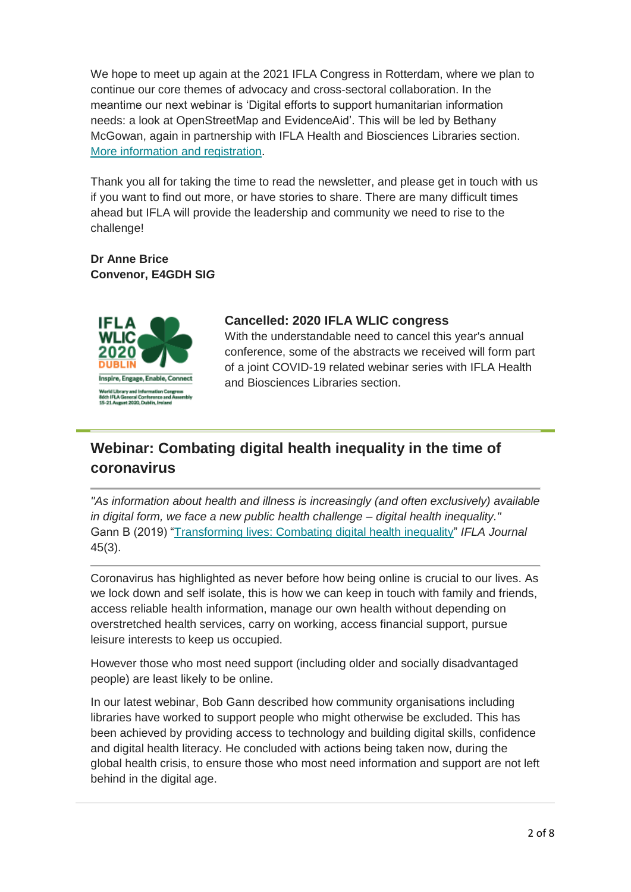We hope to meet up again at the 2021 IFLA Congress in Rotterdam, where we plan to continue our core themes of advocacy and cross-sectoral collaboration. In the meantime our next webinar is 'Digital efforts to support humanitarian information needs: a look at OpenStreetMap and EvidenceAid'. This will be led by Bethany McGowan, again in partnership with IFLA Health and Biosciences Libraries section. [More information and registration.](https://www.ifla.org/node/93232)

Thank you all for taking the time to read the newsletter, and please get in touch with us if you want to find out more, or have stories to share. There are many difficult times ahead but IFLA will provide the leadership and community we need to rise to the challenge!

**Dr Anne Brice Convenor, E4GDH SI***G*



#### <span id="page-1-0"></span>**Cancelled: 2020 IFLA WLIC congress**

With the understandable need to cancel this year's annual conference, some of the abstracts we received will form part of a joint COVID-19 related webinar series with IFLA Health and Biosciences Libraries section.

## <span id="page-1-1"></span>**Webinar: Combating digital health inequality in the time of coronavirus**

*"As information about health and illness is increasingly (and often exclusively) available in digital form, we face a new public health challenge – digital health inequality."* Gann B (2019) ["Transforming lives: Combating digital health inequality"](https://www.ifla.org/files/assets/hq/publications/ifla-journal/ifla-journal-45-3_2019.pdf) *IFLA Journal* 45(3).

Coronavirus has highlighted as never before how being online is crucial to our lives. As we lock down and self isolate, this is how we can keep in touch with family and friends, access reliable health information, manage our own health without depending on overstretched health services, carry on working, access financial support, pursue leisure interests to keep us occupied.

However those who most need support (including older and socially disadvantaged people) are least likely to be online.

In our latest webinar, Bob Gann described how community organisations including libraries have worked to support people who might otherwise be excluded. This has been achieved by providing access to technology and building digital skills, confidence and digital health literacy. He concluded with actions being taken now, during the global health crisis, to ensure those who most need information and support are not left behind in the digital age.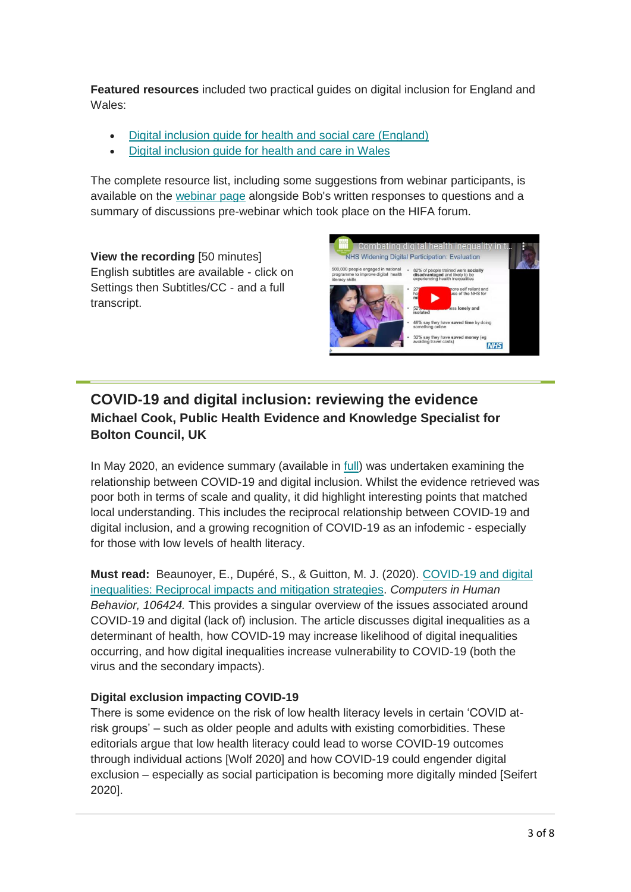**Featured resources** included two practical guides on digital inclusion for England and Wales:

- [Digital inclusion guide for health and social care \(England\)](https://digital.nhs.uk/about-nhs-digital/our-work/digital-inclusion)
- Digital inclusion guide [for health and care in Wales](https://wales.coop/new-guide-promotes-digital-inclusion-in-health-and-care-in-wales/)

The complete resource list, including some suggestions from webinar participants, is available on the [webinar page](https://www.ifla.org/publications/node/93035?og=25692) alongside Bob's written responses to questions and a summary of discussions pre-webinar which took place on the HIFA forum.

**View the recording** [50 minutes] English subtitles are available - click on Settings then Subtitles/CC - and a full transcript.



## <span id="page-2-0"></span>**COVID-19 and digital inclusion: reviewing the evidence Michael Cook, Public Health Evidence and Knowledge Specialist for Bolton Council, UK**

In May 2020, an evidence summary (available in [full\)](https://kfh.libraryservices.nhs.uk/wp-content/uploads/2020/06/Apr117-SEARCH-Digital-Inclusion-in-times-of-COVID-19-evidence-summary-230520.docx) was undertaken examining the relationship between COVID-19 and digital inclusion. Whilst the evidence retrieved was poor both in terms of scale and quality, it did highlight interesting points that matched local understanding. This includes the reciprocal relationship between COVID-19 and digital inclusion, and a growing recognition of COVID-19 as an infodemic - especially for those with low levels of health literacy.

**Must read:** Beaunoyer, E., Dupéré, S., & Guitton, M. J. (2020). [COVID-19 and digital](https://www.sciencedirect.com/science/article/pii/S0747563220301771)  [inequalities: Reciprocal impacts and mitigation strategies.](https://www.sciencedirect.com/science/article/pii/S0747563220301771) *Computers in Human Behavior, 106424.* This provides a singular overview of the issues associated around COVID-19 and digital (lack of) inclusion. The article discusses digital inequalities as a determinant of health, how COVID-19 may increase likelihood of digital inequalities occurring, and how digital inequalities increase vulnerability to COVID-19 (both the virus and the secondary impacts).

### **Digital exclusion impacting COVID-19**

There is some evidence on the risk of low health literacy levels in certain 'COVID atrisk groups' – such as older people and adults with existing comorbidities. These editorials argue that low health literacy could lead to worse COVID-19 outcomes through individual actions [Wolf 2020] and how COVID-19 could engender digital exclusion – especially as social participation is becoming more digitally minded [Seifert 2020].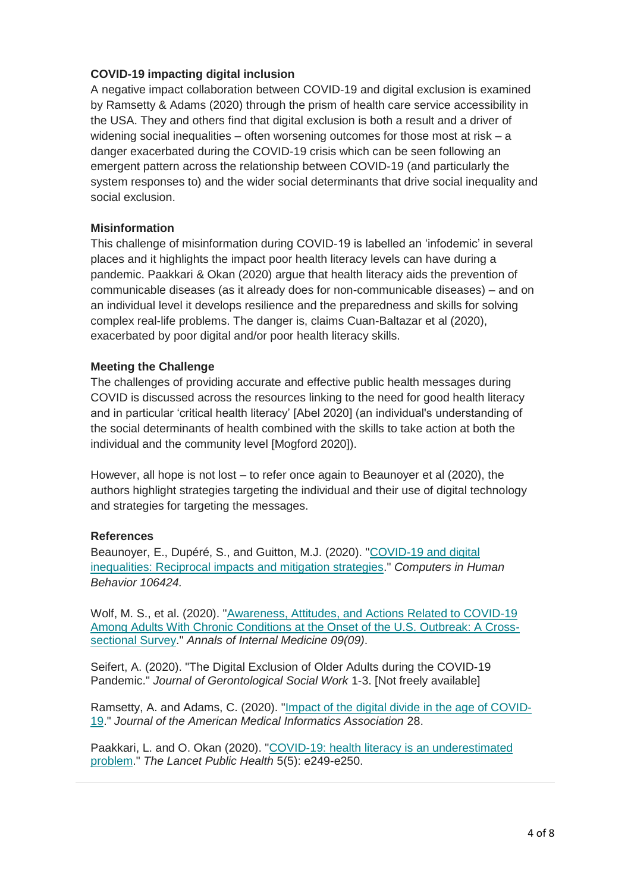#### **COVID-19 impacting digital inclusion**

A negative impact collaboration between COVID-19 and digital exclusion is examined by Ramsetty & Adams (2020) through the prism of health care service accessibility in the USA. They and others find that digital exclusion is both a result and a driver of widening social inequalities  $-$  often worsening outcomes for those most at risk  $-$  a danger exacerbated during the COVID-19 crisis which can be seen following an emergent pattern across the relationship between COVID-19 (and particularly the system responses to) and the wider social determinants that drive social inequality and social exclusion.

#### **Misinformation**

This challenge of misinformation during COVID-19 is labelled an 'infodemic' in several places and it highlights the impact poor health literacy levels can have during a pandemic. Paakkari & Okan (2020) argue that health literacy aids the prevention of communicable diseases (as it already does for non-communicable diseases) – and on an individual level it develops resilience and the preparedness and skills for solving complex real-life problems. The danger is, claims Cuan-Baltazar et al (2020), exacerbated by poor digital and/or poor health literacy skills.

#### **Meeting the Challenge**

The challenges of providing accurate and effective public health messages during COVID is discussed across the resources linking to the need for good health literacy and in particular 'critical health literacy' [Abel 2020] (an individual's understanding of the social determinants of health combined with the skills to take action at both the individual and the community level [Mogford 2020]).

However, all hope is not lost – to refer once again to Beaunoyer et al (2020), the authors highlight strategies targeting the individual and their use of digital technology and strategies for targeting the messages.

#### **References**

Beaunoyer, E., Dupéré, S., and Guitton, M.J. (2020). ["COVID-19 and digital](https://www.sciencedirect.com/science/article/pii/S0747563220301771)  inequalities: Reciprocal [impacts and mitigation strategies.](https://www.sciencedirect.com/science/article/pii/S0747563220301771)" *Computers in Human Behavior 106424.*

Wolf, M. S., et al. (2020). "Awareness, Attitudes, and Actions Related to COVID-19 [Among Adults With Chronic Conditions at the Onset of the U.S. Outbreak: A Cross](https://www.acpjournals.org/doi/full/10.7326/M20-1239?url_ver=Z39.88-2003&rfr_id=ori%3Arid%3Acrossref.org&rfr_dat=cr_pub++0pubmed&)[sectional Survey.](https://www.acpjournals.org/doi/full/10.7326/M20-1239?url_ver=Z39.88-2003&rfr_id=ori%3Arid%3Acrossref.org&rfr_dat=cr_pub++0pubmed&)" *Annals of Internal Medicine 09(09)*.

Seifert, A. (2020). "The Digital Exclusion of Older Adults during the COVID-19 Pandemic." *Journal of Gerontological Social Work* 1-3. [Not freely available]

Ramsetty, A. and Adams, C. (2020). ["Impact of the digital divide in the age of COVID-](https://academic.oup.com/jamia/article/doi/10.1093/jamia/ocaa078/5826352)[19.](https://academic.oup.com/jamia/article/doi/10.1093/jamia/ocaa078/5826352)" *Journal of the American Medical Informatics Association* 28.

Paakkari, L. and O. Okan (2020). ["COVID-19: health literacy is an underestimated](https://www.ncbi.nlm.nih.gov/pmc/articles/PMC7156243/)  [problem.](https://www.ncbi.nlm.nih.gov/pmc/articles/PMC7156243/)" *The Lancet Public Health* 5(5): e249-e250.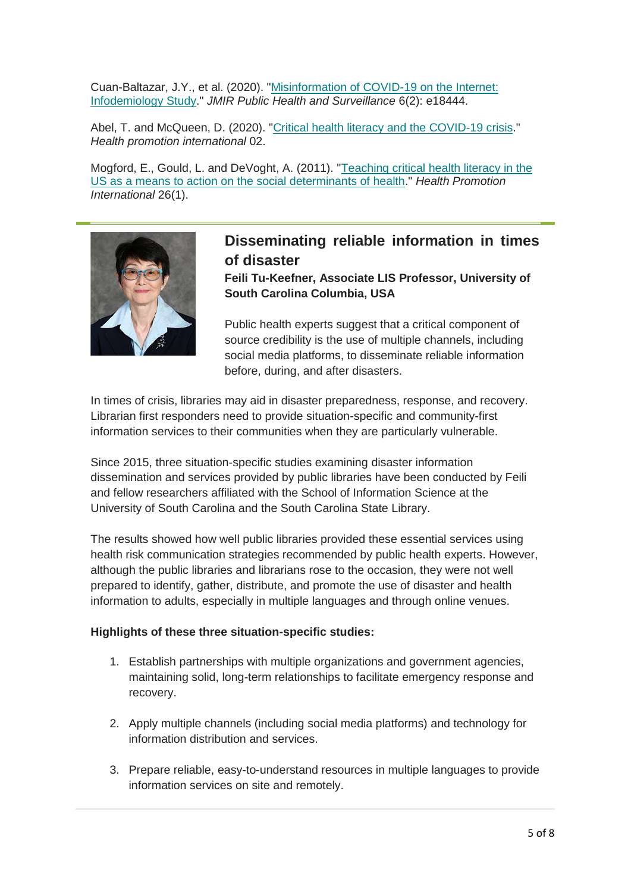Cuan-Baltazar, J.Y., et al. (2020). ["Misinformation of COVID-19 on the Internet:](https://www.ncbi.nlm.nih.gov/pmc/articles/PMC7147328/)  [Infodemiology Study.](https://www.ncbi.nlm.nih.gov/pmc/articles/PMC7147328/)" *JMIR Public Health and Surveillance* 6(2): e18444.

Abel, T. and McQueen, D. (2020). ["Critical health literacy and the COVID-19 crisis.](https://academic.oup.com/heapro/article/doi/10.1093/heapro/daaa040/5815087)" *Health promotion international* 02.

Mogford, E., Gould, L. and DeVoght, A. (2011). ["Teaching critical health literacy in the](https://academic.oup.com/heapro/article/26/1/4/677904)  [US as a means to action on the social determinants of health.](https://academic.oup.com/heapro/article/26/1/4/677904)" *Health Promotion International* 26(1).



## <span id="page-4-0"></span>**Disseminating reliable information in times of disaster**

**Feili Tu-Keefner, Associate LIS Professor, University of South Carolina Columbia, USA**

Public health experts suggest that a critical component of source credibility is the use of multiple channels, including social media platforms, to disseminate reliable information before, during, and after disasters.

In times of crisis, libraries may aid in disaster preparedness, response, and recovery. Librarian first responders need to provide situation-specific and community-first information services to their communities when they are particularly vulnerable.

Since 2015, three situation-specific studies examining disaster information dissemination and services provided by public libraries have been conducted by Feili and fellow researchers affiliated with the School of Information Science at the University of South Carolina and the South Carolina State Library.

The results showed how well public libraries provided these essential services using health risk communication strategies recommended by public health experts. However, although the public libraries and librarians rose to the occasion, they were not well prepared to identify, gather, distribute, and promote the use of disaster and health information to adults, especially in multiple languages and through online venues.

#### **Highlights of these three situation-specific studies:**

- 1. Establish partnerships with multiple organizations and government agencies, maintaining solid, long-term relationships to facilitate emergency response and recovery.
- 2. Apply multiple channels (including social media platforms) and technology for information distribution and services.
- 3. Prepare reliable, easy-to-understand resources in multiple languages to provide information services on site and remotely.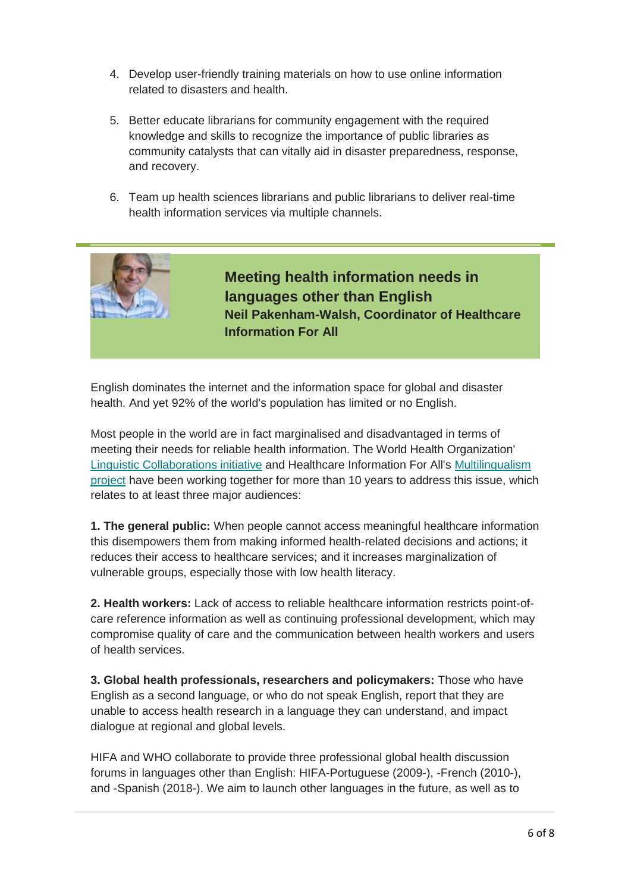- 4. Develop user-friendly training materials on how to use online information related to disasters and health.
- 5. Better educate librarians for community engagement with the required knowledge and skills to recognize the importance of public libraries as community catalysts that can vitally aid in disaster preparedness, response, and recovery.
- <span id="page-5-0"></span>6. Team up health sciences librarians and public librarians to deliver real-time health information services via multiple channels.



English dominates the internet and the information space for global and disaster health. And yet 92% of the world's population has limited or no English.

Most people in the world are in fact marginalised and disadvantaged in terms of meeting their needs for reliable health information. The World Health Organization' [Linguistic Collaborations initiative](https://www.who.int/servicedeliverysafety/areas/linguistic/en/) and Healthcare Information For All's [Multilingualism](http://www.hifa.org/projects/multilingualism)  [project](http://www.hifa.org/projects/multilingualism) have been working together for more than 10 years to address this issue, which relates to at least three major audiences:

**1. The general public:** When people cannot access meaningful healthcare information this disempowers them from making informed health-related decisions and actions; it reduces their access to healthcare services; and it increases marginalization of vulnerable groups, especially those with low health literacy.

**2. Health workers:** Lack of access to reliable healthcare information restricts point-ofcare reference information as well as continuing professional development, which may compromise quality of care and the communication between health workers and users of health services.

**3. Global health professionals, researchers and policymakers:** Those who have English as a second language, or who do not speak English, report that they are unable to access health research in a language they can understand, and impact dialogue at regional and global levels.

HIFA and WHO collaborate to provide three professional global health discussion forums in languages other than English: HIFA-Portuguese (2009-), -French (2010-), and -Spanish (2018-). We aim to launch other languages in the future, as well as to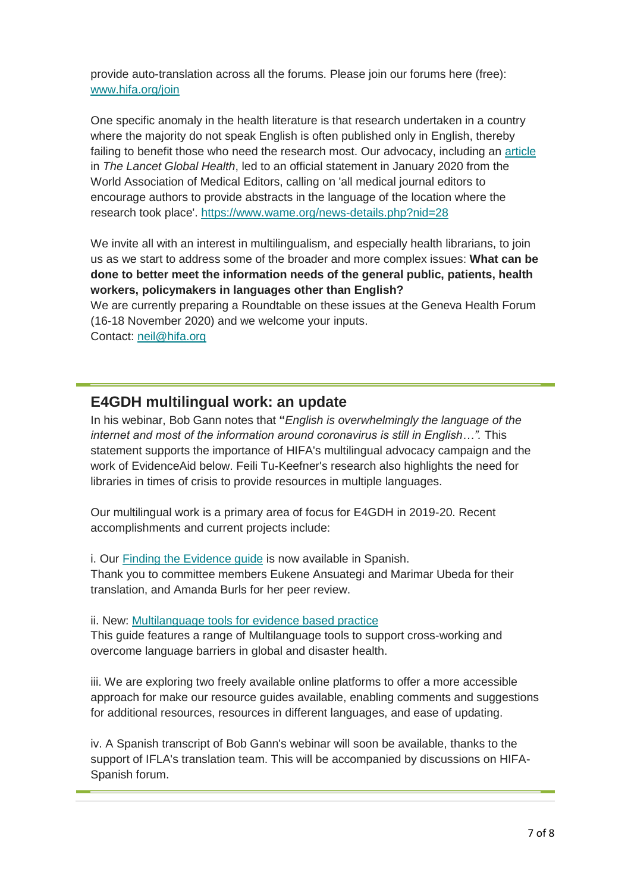provide auto-translation across all the forums. Please join our forums here (free): [www.hifa.org/join](http://www.hifa.org/join)

One specific anomaly in the health literature is that research undertaken in a country where the majority do not speak English is often published only in English, thereby failing to benefit those who need the research most. Our advocacy, including an [article](https://linkinghub.elsevier.com/retrieve/pii/S2214109X1830384X) in *The Lancet Global Health*, led to an official statement in January 2020 from the World Association of Medical Editors, calling on 'all medical journal editors to encourage authors to provide abstracts in the language of the location where the research took place'.<https://www.wame.org/news-details.php?nid=28>

We invite all with an interest in multilingualism, and especially health librarians, to join us as we start to address some of the broader and more complex issues: **What can be done to better meet the information needs of the general public, patients, health workers, policymakers in languages other than English?**

We are currently preparing a Roundtable on these issues at the Geneva Health Forum (16-18 November 2020) and we welcome your inputs. Contact: [neil@hifa.org](mailto:neil@hifa.org)

<span id="page-6-0"></span>**E4GDH multilingual work: an update**

In his webinar, Bob Gann notes that **"***English is overwhelmingly the language of the internet and most of the information around coronavirus is still in English…".* This statement supports the importance of HIFA's multilingual advocacy campaign and the work of EvidenceAid below. Feili Tu-Keefner's research also highlights the need for libraries in times of crisis to provide resources in multiple languages.

Our multilingual work is a primary area of focus for E4GDH in 2019-20. Recent accomplishments and current projects include:

i. Our [Finding the Evidence guide](https://www.ifla.org/publications/node/81736?og=25692) is now available in Spanish.

Thank you to committee members Eukene Ansuategi and Marimar Ubeda for their translation, and Amanda Burls for her peer review.

ii. New: [Multilanguage tools for evidence based practice](https://www.ifla.org/publications/node/93058?og=25692)

This guide features a range of Multilanguage tools to support cross-working and overcome language barriers in global and disaster health.

iii. We are exploring two freely available online platforms to offer a more accessible approach for make our resource guides available, enabling comments and suggestions for additional resources, resources in different languages, and ease of updating.

iv. A Spanish transcript of Bob Gann's webinar will soon be available, thanks to the support of IFLA's translation team. This will be accompanied by discussions on HIFA-Spanish forum.